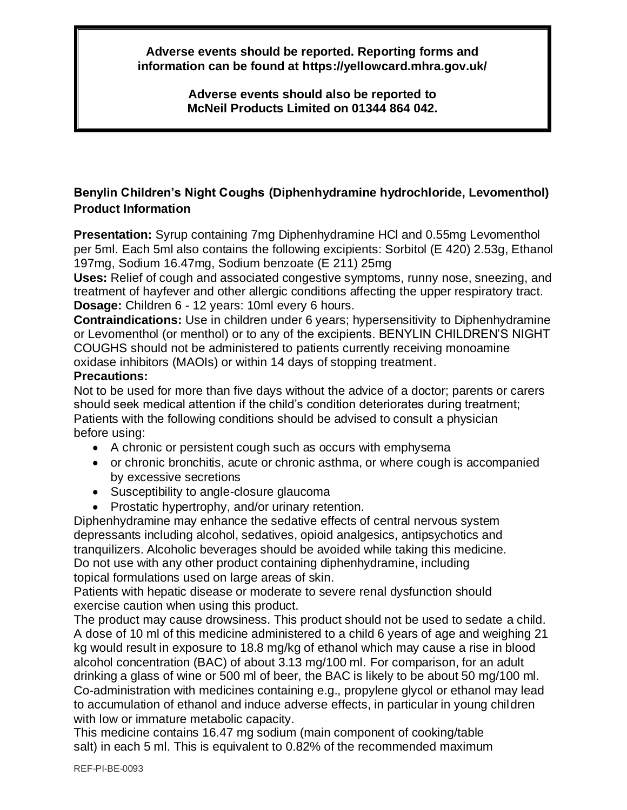**Adverse events should be reported. Reporting forms and information can be found at https://yellowcard.mhra.gov.uk/**

> **Adverse events should also be reported to McNeil Products Limited on 01344 864 042.**

# **Benylin Children's Night Coughs (Diphenhydramine hydrochloride, Levomenthol) Product Information**

**Presentation:** Syrup containing 7mg Diphenhydramine HCl and 0.55mg Levomenthol per 5ml. Each 5ml also contains the following excipients: Sorbitol (E 420) 2.53g, Ethanol 197mg, Sodium 16.47mg, Sodium benzoate (E 211) 25mg

**Uses:** Relief of cough and associated congestive symptoms, runny nose, sneezing, and treatment of hayfever and other allergic conditions affecting the upper respiratory tract. **Dosage:** Children 6 - 12 years: 10ml every 6 hours.

**Contraindications:** Use in children under 6 years; hypersensitivity to Diphenhydramine or Levomenthol (or menthol) or to any of the excipients. BENYLIN CHILDREN'S NIGHT COUGHS should not be administered to patients currently receiving monoamine oxidase inhibitors (MAOIs) or within 14 days of stopping treatment.

#### **Precautions:**

Not to be used for more than five days without the advice of a doctor; parents or carers should seek medical attention if the child's condition deteriorates during treatment; Patients with the following conditions should be advised to consult a physician before using:

- A chronic or persistent cough such as occurs with emphysema
- or chronic bronchitis, acute or chronic asthma, or where cough is accompanied by excessive secretions
- Susceptibility to angle-closure glaucoma
- Prostatic hypertrophy, and/or urinary retention.

Diphenhydramine may enhance the sedative effects of central nervous system depressants including alcohol, sedatives, opioid analgesics, antipsychotics and tranquilizers. Alcoholic beverages should be avoided while taking this medicine. Do not use with any other product containing diphenhydramine, including topical formulations used on large areas of skin.

Patients with hepatic disease or moderate to severe renal dysfunction should exercise caution when using this product.

The product may cause drowsiness. This product should not be used to sedate a child. A dose of 10 ml of this medicine administered to a child 6 years of age and weighing 21 kg would result in exposure to 18.8 mg/kg of ethanol which may cause a rise in blood alcohol concentration (BAC) of about 3.13 mg/100 ml. For comparison, for an adult drinking a glass of wine or 500 ml of beer, the BAC is likely to be about 50 mg/100 ml. Co-administration with medicines containing e.g., propylene glycol or ethanol may lead to accumulation of ethanol and induce adverse effects, in particular in young children with low or immature metabolic capacity.

This medicine contains 16.47 mg sodium (main component of cooking/table salt) in each 5 ml. This is equivalent to 0.82% of the recommended maximum